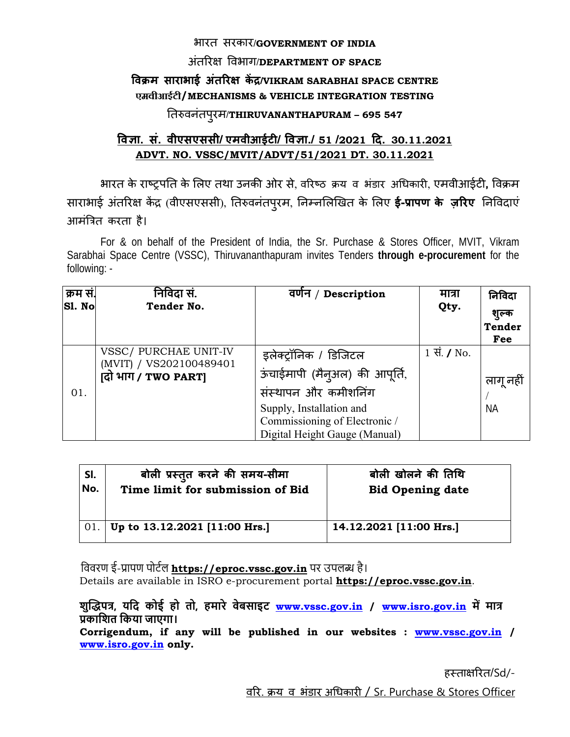#### भारत सरकार/**GOVERNMENT OF INDIA**

#### अतिरक्ष िवभाग ं /**DEPARTMENT OF SPACE**

### **िवक्रम साराभाई अतिरक्ष ं कɅद्र/VIKRAM SARABHAI SPACE CENTRE एमवीआईटी/MECHANISMS & VEHICLE INTEGRATION TESTING**

# ितǽवनंतपरमु /**THIRUVANANTHAPURAM – 695 547**

## **िवज्ञा. सं. वीएसएससी/ एमवीआईटी/ िवज्ञा./ 51 /2021 िद. 30.11.2021 ADVT. NO. VSSC/MVIT/ADVT/51/2021 DT. 30.11.2021**

भारत के राçट्रपित के िलए तथा उनकी ओर से, विरçठ क्रय व भंडार अिधकारी, एमवीआईटी**,** िवक्रम साराभाई अंतरिक्ष केंद्र (वीएसएससी), तिरुवनंतपुरम, निम्नलिखित के लिए **ई-प्रापण के ज़रिए** निविदाएं आमंित्रत करता है।

For & on behalf of the President of India, the Sr. Purchase & Stores Officer, MVIT, Vikram Sarabhai Space Centre (VSSC), Thiruvananthapuram invites Tenders **through e-procurement** for the following: -

| क्रम सं.<br>Sl. No | निविदा सं.<br>Tender No.                                                | वर्णन / Description                                                                                                                                                           | मात्रा<br>Qty.      | निविदा<br>शुल्क<br><b>Tender</b><br>Fee |
|--------------------|-------------------------------------------------------------------------|-------------------------------------------------------------------------------------------------------------------------------------------------------------------------------|---------------------|-----------------------------------------|
| 01.                | VSSC/ PURCHAE UNIT-IV<br>(MVIT) / VS202100489401<br>(दो भाग / TWO PART) | इलेक्ट्रॉनिक / डिजिटल<br>ऊंचाईमापी (मैन्अल) की आपूर्ति,<br>संस्थापन और कमीशनिंग<br>Supply, Installation and<br>Commissioning of Electronic /<br>Digital Height Gauge (Manual) | 1 सं. $\sqrt{}$ No. | लागू नहीं<br><b>NA</b>                  |

| SI. | बोली प्रस्तुत करने की समय-सीमा   | बोली खोलने की तिथि      |
|-----|----------------------------------|-------------------------|
| No. | Time limit for submission of Bid | <b>Bid Opening date</b> |
| 01. | Up to 13.12.2021 [11:00 Hrs.]    | 14.12.2021 [11:00 Hrs.] |

विवरण ई-प्रापण पोर्टल **https://eproc.vssc.gov.in** पर उपलब्ध है। Details are available in ISRO e-procurement portal **https://eproc.vssc.gov.in**.

**शुİȠपũ, यिद कोई हो तो, हमारे वेबसाइट www.vssc.gov.in / www.isro.gov.in मŐ माũ Ůकािशत िकया जाएगा।**

**Corrigendum, if any will be published in our websites : www.vssc.gov.in / www.isro.gov.in only.** 

हस्ताक्षरित/Sd/-

विर. क्रय व भंडार अिधकारी / Sr. Purchase & Stores Officer